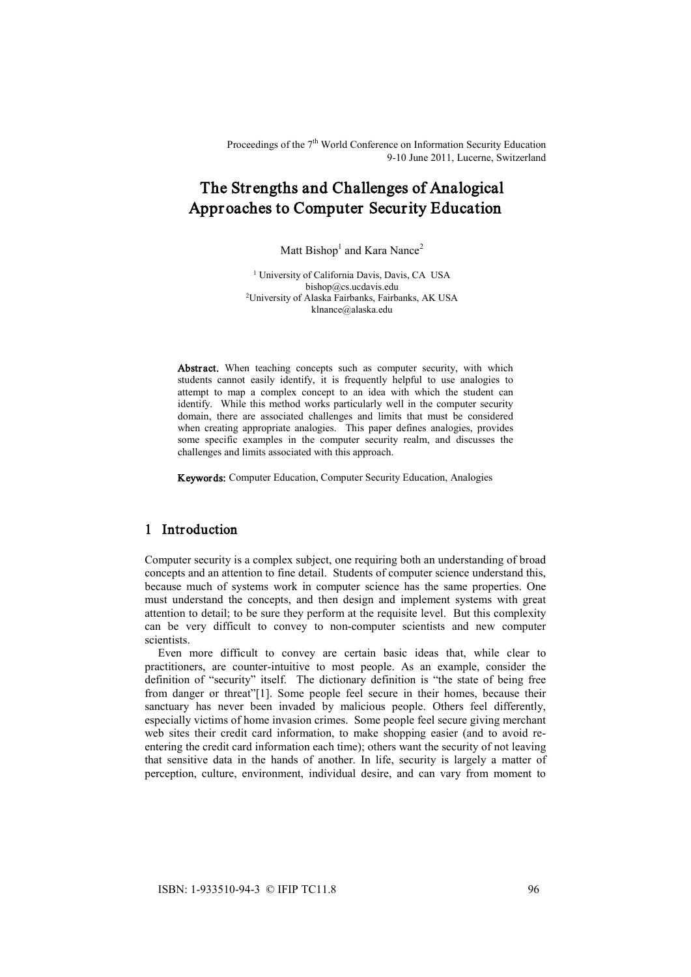# The Strengths and Challenges of Analogical Approaches to Computer Security Education

Matt Bishop<sup>1</sup> and Kara Nance<sup>2</sup>

<sup>1</sup> University of California Davis, Davis, CA USA bishop@cs.ucdavis.edu 2 University of Alaska Fairbanks, Fairbanks, AK USA klnance@alaska.edu

Abstract. When teaching concepts such as computer security, with which students cannot easily identify, it is frequently helpful to use analogies to attempt to map a complex concept to an idea with which the student can identify. While this method works particularly well in the computer security domain, there are associated challenges and limits that must be considered when creating appropriate analogies. This paper defines analogies, provides some specific examples in the computer security realm, and discusses the challenges and limits associated with this approach.

Keywords: Computer Education, Computer Security Education, Analogies

# 1 Introduction

Computer security is a complex subject, one requiring both an understanding of broad concepts and an attention to fine detail. Students of computer science understand this, because much of systems work in computer science has the same properties. One must understand the concepts, and then design and implement systems with great attention to detail; to be sure they perform at the requisite level. But this complexity can be very difficult to convey to non-computer scientists and new computer scientists.

Even more difficult to convey are certain basic ideas that, while clear to practitioners, are counter-intuitive to most people. As an example, consider the definition of "security" itself. The dictionary definition is "the state of being free from danger or threat"[1]. Some people feel secure in their homes, because their sanctuary has never been invaded by malicious people. Others feel differently, especially victims of home invasion crimes. Some people feel secure giving merchant web sites their credit card information, to make shopping easier (and to avoid reentering the credit card information each time); others want the security of not leaving that sensitive data in the hands of another. In life, security is largely a matter of perception, culture, environment, individual desire, and can vary from moment to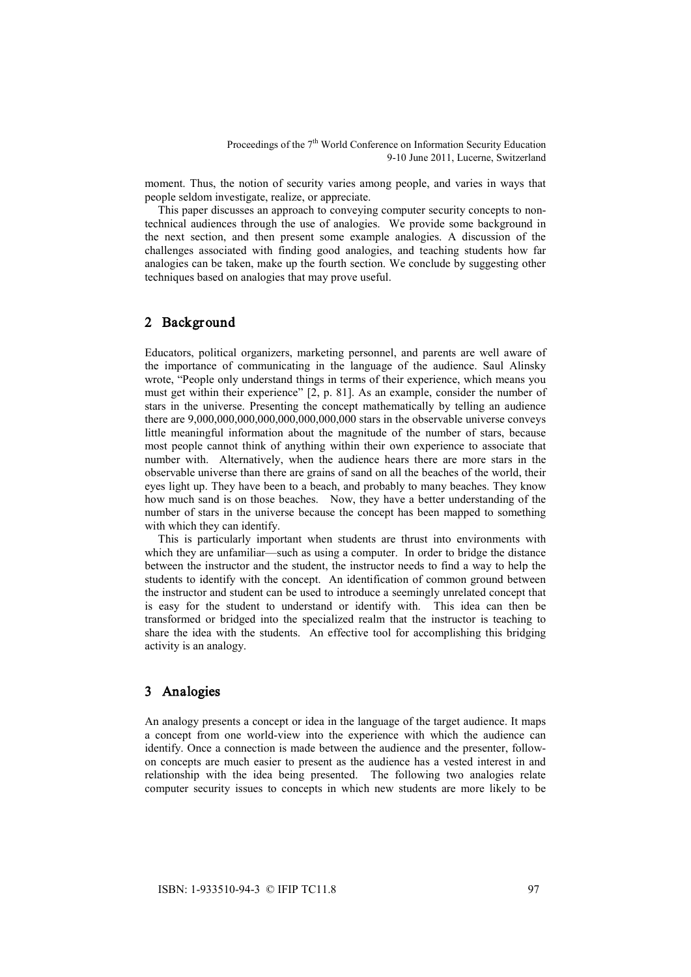moment. Thus, the notion of security varies among people, and varies in ways that people seldom investigate, realize, or appreciate.

This paper discusses an approach to conveying computer security concepts to nontechnical audiences through the use of analogies. We provide some background in the next section, and then present some example analogies. A discussion of the challenges associated with finding good analogies, and teaching students how far analogies can be taken, make up the fourth section. We conclude by suggesting other techniques based on analogies that may prove useful.

### 2 Background

Educators, political organizers, marketing personnel, and parents are well aware of the importance of communicating in the language of the audience. Saul Alinsky wrote, "People only understand things in terms of their experience, which means you must get within their experience" [2, p. 81]. As an example, consider the number of stars in the universe. Presenting the concept mathematically by telling an audience there are 9,000,000,000,000,000,000,000,000 stars in the observable universe conveys little meaningful information about the magnitude of the number of stars, because most people cannot think of anything within their own experience to associate that number with. Alternatively, when the audience hears there are more stars in the observable universe than there are grains of sand on all the beaches of the world, their eyes light up. They have been to a beach, and probably to many beaches. They know how much sand is on those beaches. Now, they have a better understanding of the number of stars in the universe because the concept has been mapped to something with which they can identify.

This is particularly important when students are thrust into environments with which they are unfamiliar—such as using a computer. In order to bridge the distance between the instructor and the student, the instructor needs to find a way to help the students to identify with the concept. An identification of common ground between the instructor and student can be used to introduce a seemingly unrelated concept that is easy for the student to understand or identify with. This idea can then be transformed or bridged into the specialized realm that the instructor is teaching to share the idea with the students. An effective tool for accomplishing this bridging activity is an analogy.

# 3 Analogies

An analogy presents a concept or idea in the language of the target audience. It maps a concept from one world-view into the experience with which the audience can identify. Once a connection is made between the audience and the presenter, followon concepts are much easier to present as the audience has a vested interest in and relationship with the idea being presented. The following two analogies relate computer security issues to concepts in which new students are more likely to be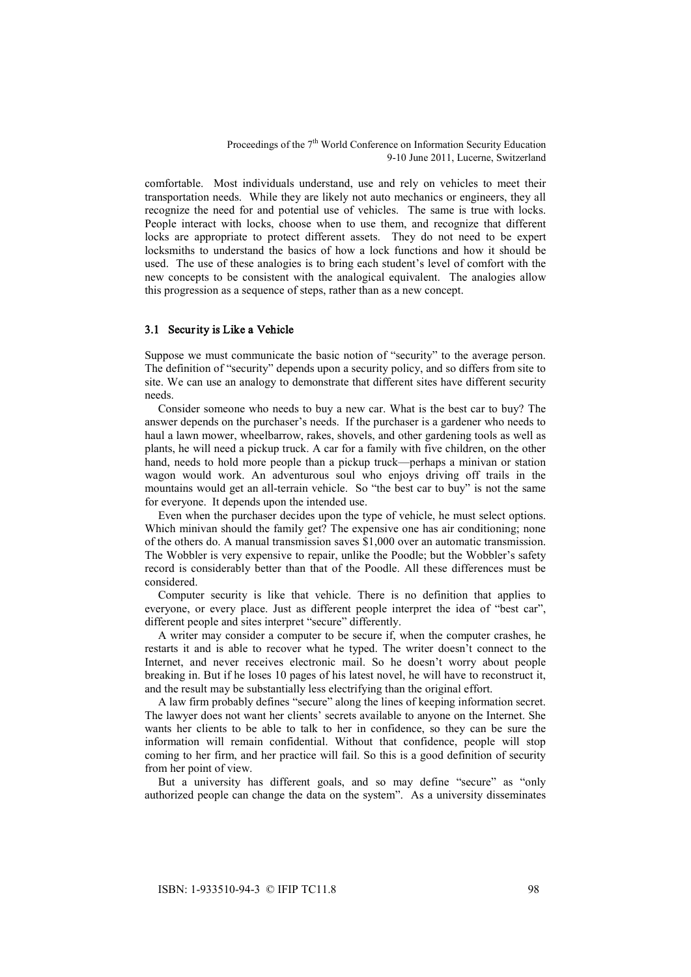comfortable. Most individuals understand, use and rely on vehicles to meet their transportation needs. While they are likely not auto mechanics or engineers, they all recognize the need for and potential use of vehicles. The same is true with locks. People interact with locks, choose when to use them, and recognize that different locks are appropriate to protect different assets. They do not need to be expert locksmiths to understand the basics of how a lock functions and how it should be used. The use of these analogies is to bring each student's level of comfort with the new concepts to be consistent with the analogical equivalent. The analogies allow this progression as a sequence of steps, rather than as a new concept.

#### 3.1 Security is Like a Vehicle

Suppose we must communicate the basic notion of "security" to the average person. The definition of "security" depends upon a security policy, and so differs from site to site. We can use an analogy to demonstrate that different sites have different security needs.

Consider someone who needs to buy a new car. What is the best car to buy? The answer depends on the purchaser's needs. If the purchaser is a gardener who needs to haul a lawn mower, wheelbarrow, rakes, shovels, and other gardening tools as well as plants, he will need a pickup truck. A car for a family with five children, on the other hand, needs to hold more people than a pickup truck—perhaps a minivan or station wagon would work. An adventurous soul who enjoys driving off trails in the mountains would get an all-terrain vehicle. So "the best car to buy" is not the same for everyone. It depends upon the intended use.

Even when the purchaser decides upon the type of vehicle, he must select options. Which minivan should the family get? The expensive one has air conditioning; none of the others do. A manual transmission saves \$1,000 over an automatic transmission. The Wobbler is very expensive to repair, unlike the Poodle; but the Wobbler's safety record is considerably better than that of the Poodle. All these differences must be considered.

Computer security is like that vehicle. There is no definition that applies to everyone, or every place. Just as different people interpret the idea of "best car", different people and sites interpret "secure" differently.

A writer may consider a computer to be secure if, when the computer crashes, he restarts it and is able to recover what he typed. The writer doesn't connect to the Internet, and never receives electronic mail. So he doesn't worry about people breaking in. But if he loses 10 pages of his latest novel, he will have to reconstruct it, and the result may be substantially less electrifying than the original effort.

A law firm probably defines "secure" along the lines of keeping information secret. The lawyer does not want her clients' secrets available to anyone on the Internet. She wants her clients to be able to talk to her in confidence, so they can be sure the information will remain confidential. Without that confidence, people will stop coming to her firm, and her practice will fail. So this is a good definition of security from her point of view.

But a university has different goals, and so may define "secure" as "only authorized people can change the data on the system". As a university disseminates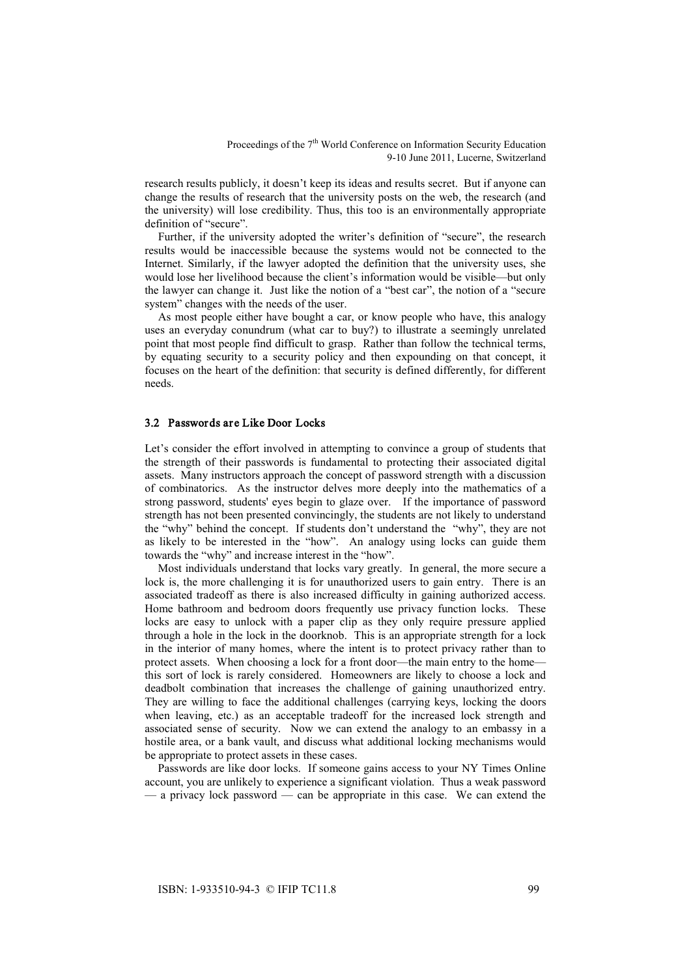research results publicly, it doesn't keep its ideas and results secret. But if anyone can change the results of research that the university posts on the web, the research (and the university) will lose credibility. Thus, this too is an environmentally appropriate definition of "secure".

Further, if the university adopted the writer's definition of "secure", the research results would be inaccessible because the systems would not be connected to the Internet. Similarly, if the lawyer adopted the definition that the university uses, she would lose her livelihood because the client's information would be visible—but only the lawyer can change it. Just like the notion of a "best car", the notion of a "secure system" changes with the needs of the user.

As most people either have bought a car, or know people who have, this analogy uses an everyday conundrum (what car to buy?) to illustrate a seemingly unrelated point that most people find difficult to grasp. Rather than follow the technical terms, by equating security to a security policy and then expounding on that concept, it focuses on the heart of the definition: that security is defined differently, for different needs.

#### 3.2 Passwords are Like Door Locks

Let's consider the effort involved in attempting to convince a group of students that the strength of their passwords is fundamental to protecting their associated digital assets. Many instructors approach the concept of password strength with a discussion of combinatorics. As the instructor delves more deeply into the mathematics of a strong password, students' eyes begin to glaze over. If the importance of password strength has not been presented convincingly, the students are not likely to understand the "why" behind the concept. If students don't understand the "why", they are not as likely to be interested in the "how". An analogy using locks can guide them towards the "why" and increase interest in the "how".

Most individuals understand that locks vary greatly. In general, the more secure a lock is, the more challenging it is for unauthorized users to gain entry. There is an associated tradeoff as there is also increased difficulty in gaining authorized access. Home bathroom and bedroom doors frequently use privacy function locks. These locks are easy to unlock with a paper clip as they only require pressure applied through a hole in the lock in the doorknob. This is an appropriate strength for a lock in the interior of many homes, where the intent is to protect privacy rather than to protect assets. When choosing a lock for a front door—the main entry to the home this sort of lock is rarely considered. Homeowners are likely to choose a lock and deadbolt combination that increases the challenge of gaining unauthorized entry. They are willing to face the additional challenges (carrying keys, locking the doors when leaving, etc.) as an acceptable tradeoff for the increased lock strength and associated sense of security. Now we can extend the analogy to an embassy in a hostile area, or a bank vault, and discuss what additional locking mechanisms would be appropriate to protect assets in these cases.

Passwords are like door locks. If someone gains access to your NY Times Online account, you are unlikely to experience a significant violation. Thus a weak password — a privacy lock password — can be appropriate in this case. We can extend the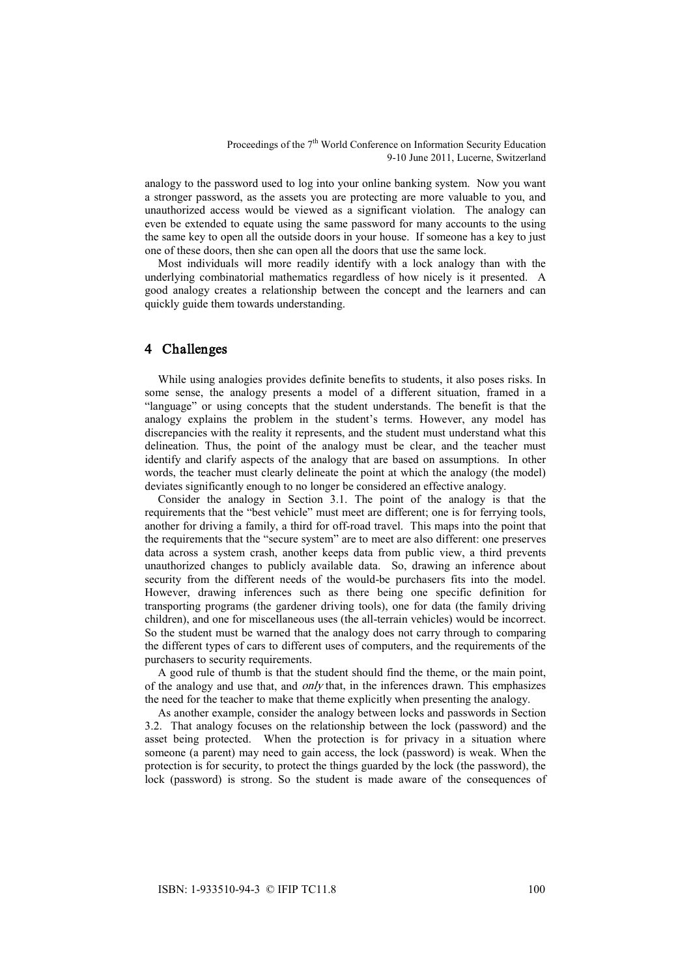analogy to the password used to log into your online banking system. Now you want a stronger password, as the assets you are protecting are more valuable to you, and unauthorized access would be viewed as a significant violation. The analogy can even be extended to equate using the same password for many accounts to the using the same key to open all the outside doors in your house. If someone has a key to just one of these doors, then she can open all the doors that use the same lock.

Most individuals will more readily identify with a lock analogy than with the underlying combinatorial mathematics regardless of how nicely is it presented. A good analogy creates a relationship between the concept and the learners and can quickly guide them towards understanding.

## 4 Challenges

While using analogies provides definite benefits to students, it also poses risks. In some sense, the analogy presents a model of a different situation, framed in a "language" or using concepts that the student understands. The benefit is that the analogy explains the problem in the student's terms. However, any model has discrepancies with the reality it represents, and the student must understand what this delineation. Thus, the point of the analogy must be clear, and the teacher must identify and clarify aspects of the analogy that are based on assumptions. In other words, the teacher must clearly delineate the point at which the analogy (the model) deviates significantly enough to no longer be considered an effective analogy.

Consider the analogy in Section 3.1. The point of the analogy is that the requirements that the "best vehicle" must meet are different; one is for ferrying tools, another for driving a family, a third for off-road travel. This maps into the point that the requirements that the "secure system" are to meet are also different: one preserves data across a system crash, another keeps data from public view, a third prevents unauthorized changes to publicly available data. So, drawing an inference about security from the different needs of the would-be purchasers fits into the model. However, drawing inferences such as there being one specific definition for transporting programs (the gardener driving tools), one for data (the family driving children), and one for miscellaneous uses (the all-terrain vehicles) would be incorrect. So the student must be warned that the analogy does not carry through to comparing the different types of cars to different uses of computers, and the requirements of the purchasers to security requirements.

A good rule of thumb is that the student should find the theme, or the main point, of the analogy and use that, and *only* that, in the inferences drawn. This emphasizes the need for the teacher to make that theme explicitly when presenting the analogy.

As another example, consider the analogy between locks and passwords in Section 3.2. That analogy focuses on the relationship between the lock (password) and the asset being protected. When the protection is for privacy in a situation where someone (a parent) may need to gain access, the lock (password) is weak. When the protection is for security, to protect the things guarded by the lock (the password), the lock (password) is strong. So the student is made aware of the consequences of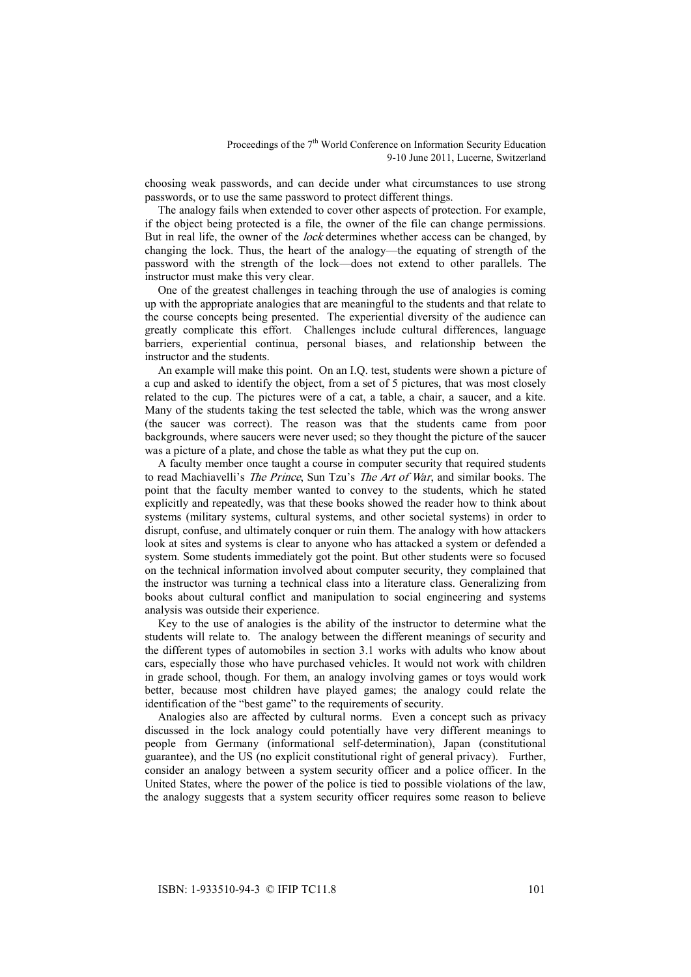choosing weak passwords, and can decide under what circumstances to use strong passwords, or to use the same password to protect different things.

The analogy fails when extended to cover other aspects of protection. For example, if the object being protected is a file, the owner of the file can change permissions. But in real life, the owner of the *lock* determines whether access can be changed, by changing the lock. Thus, the heart of the analogy—the equating of strength of the password with the strength of the lock—does not extend to other parallels. The instructor must make this very clear.

One of the greatest challenges in teaching through the use of analogies is coming up with the appropriate analogies that are meaningful to the students and that relate to the course concepts being presented. The experiential diversity of the audience can greatly complicate this effort. Challenges include cultural differences, language barriers, experiential continua, personal biases, and relationship between the instructor and the students.

An example will make this point. On an I.Q. test, students were shown a picture of a cup and asked to identify the object, from a set of 5 pictures, that was most closely related to the cup. The pictures were of a cat, a table, a chair, a saucer, and a kite. Many of the students taking the test selected the table, which was the wrong answer (the saucer was correct). The reason was that the students came from poor backgrounds, where saucers were never used; so they thought the picture of the saucer was a picture of a plate, and chose the table as what they put the cup on.

A faculty member once taught a course in computer security that required students to read Machiavelli's *The Prince*, Sun Tzu's *The Art of War*, and similar books. The point that the faculty member wanted to convey to the students, which he stated explicitly and repeatedly, was that these books showed the reader how to think about systems (military systems, cultural systems, and other societal systems) in order to disrupt, confuse, and ultimately conquer or ruin them. The analogy with how attackers look at sites and systems is clear to anyone who has attacked a system or defended a system. Some students immediately got the point. But other students were so focused on the technical information involved about computer security, they complained that the instructor was turning a technical class into a literature class. Generalizing from books about cultural conflict and manipulation to social engineering and systems analysis was outside their experience.

Key to the use of analogies is the ability of the instructor to determine what the students will relate to. The analogy between the different meanings of security and the different types of automobiles in section 3.1 works with adults who know about cars, especially those who have purchased vehicles. It would not work with children in grade school, though. For them, an analogy involving games or toys would work better, because most children have played games; the analogy could relate the identification of the "best game" to the requirements of security.

Analogies also are affected by cultural norms. Even a concept such as privacy discussed in the lock analogy could potentially have very different meanings to people from Germany (informational self-determination), Japan (constitutional guarantee), and the US (no explicit constitutional right of general privacy). Further, consider an analogy between a system security officer and a police officer. In the United States, where the power of the police is tied to possible violations of the law, the analogy suggests that a system security officer requires some reason to believe